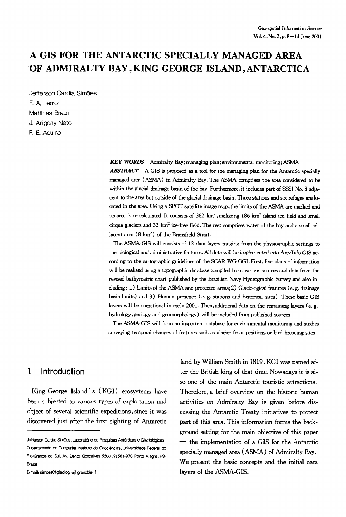# **A GIS FOR THE ANTARCTIC SPECIALLY MANAGED AREA OF ADMIRALTY BAY, KING GEORGE ISLAND, ANTARCTICA**

Jefferson Cardia Simões F. A. Ferron Matthias Braun J. Arigony Neto F. E. Aquino

> *KEY WORDS* Admiralty Bay;managing plan;environmental monitoring;ASMA ABSTRACT A GIS is proposed as a tool for the managing plan for the Antarctic specially managed area (ASMA) in Admiralty Bay. The ASMA comprises the area considered to be within the glacial drainage basin of the bay. Furthermore, it includes part of SSSI No. 8 adjacent to the area but outside of the glacial drainage basin. Three stations and six refuges are located in the area. Using a SPOT satellite image map, the limits of the ASMA are marked and its area is re-calculated. It consists of  $362 \text{ km}^2$ , including  $186 \text{ km}^2$  island ice field and small cirque glaciers and 32 km<sup>2</sup> ice-free field. The rest comprises water of the bay and a small adjacent area  $(8 \text{ km}^2)$  of the Bransfield Strait.

> The ASMA-GIS will consists of 12 data layers ranging from the physiographic settings to the biological and administrative features. All data will be implemented into Arc/Info GIS according to the cartographic guidelines of the SCAR WG-GGI. First,five plans of information will be realised using a topographic database compiled from various sources and data from the revised bathymetric chart published by the Brazilian Navy Hydrographic Survey and also including: 1) Limits of the ASMA and protected areas; 2) Glaciological features (e.g. drainage basin limits) and 3) Human presence (e. g. stations and historical sites). These basic GIS layers will be operational in early 2001. Then, additional data on the remaining layers (e.g. hydrology, geology and geomorphology) will be included from published sources.

> The ASMA-GIS will form an important database for environmental monitoring and studies surveying temporal changes of features such as glacier front positions or bird breading sites.

## **1 Introduction**

King George Island' s ( KGI ) ecosystems have been subjected to various types of exploitation and object of several scientific expeditions, since it was discovered just after the first sighting of Antarctic

E-mail: simoes@glaciog, ujf-grencble, fr

land by William Smith in 1819. KGI was named after the British king of that time. Nowadays it is also one of the main Antarctic touristic attractions. Therefore, a brief overview on the historic human activities on Admiralty Bay is given before discussing the Antarctic Treaty initiatives to protect part of this area. This information forms the background setting for the main objective of this paper  $-$  the implementation of a GIS for the Antarctic specially managed area (ASMA) of Admiralty Bay. We present the basic concepts and the initial data layers of the ASMA-GIS.

Jefferson Cardia Simões, Laboratório de Pesquisas Antárticas e Glaciológicas, Departamento de Geografia Instituto de Geociências, Universidade Federal do Rio Grande do Sul, Av, Bento Gonçalves 9500, 91501-970 Porto Alegre, RS-Brazil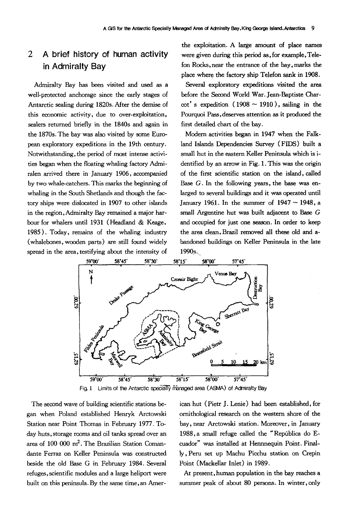## **2 A brief history of human activity in Admiralty Bay**

Admiralty Bay has been visited and used as a well-protected anchorage since the early stages of Antarctic sealing during 1820s. After the demise of this economic activity, due to over-exploitation, sealers returned briefly in the 1840s and again in the 1870s. The bay was also visited by some European exploratory expeditions in the 19th century. Notwithstanding, the period of most intense activities began when the floating whaling factory Admiralen arrived there in January 1906, accompanied by two whale-catchers. This marks the beginning of whaling in the South Shetlands and though the factory ships were dislocated in 1907 to other islands in the region, Admiralty Bay remained a major harhour for whalers until 1931 (Headland & Keage, 1985 ). Today, remains of the whaling industry (whalebones, wooden parts) are still found widely spread in the area, testifying about the intensity of

the exploitation. A large amount of place names were given during this period as, for example, Telefon Rocks, near the entrance of the bay, marks the place where the factory ship Telefon sank in 1908.

Several exploratory expeditions visited the area before the Second World War. Jean-Baptiste Char- $\cot$ ' s expedition (1908  $\sim$  1910), sailing in the Pourquoi Pass, deserves attention as it produced the first detailed chart of the bay.

Modern activities began in 1947 when the Falkland Islands Dependencies Survey (FIDS) built a small hut in the eastern Keller Peninsula which is identified by an arrow in Fig. 1. This was the origin of the first scientific station on the island, called Base G. In the following years, the base was enlarged to several buildings and it was operated until January 1961. In the summer of  $1947 \sim 1948$ , a small Argentine hut was built adjacent to Base G and occupied for just one season. In order to keep the area dean, Brazil removed all these old and abandoned buildings on Keller Peninsula in the late 1990<sub>s</sub>.



Fig. 1 Limits of the Antarctic specially managed area (ASMA) of Admiralty Bay

The second wave of building scientific stations began when Poland established Henryk Arctowski Station near Point Thomas in February 1977. Today huts, storage rooms and oil tanks spread over an area of  $100000$  m<sup>2</sup>. The Brazilian Station Comandante Ferraz on Keller Peninsula was constructed beside the old Base G in February 1984. Several refuges, scientific modules and a large heliport were built on this peninsula. By the same time, an American hut (Pietr J. Lenie) had been established, for ornithological research on the western shore of the bay, near Arctowski station. Moreover, in January 1988, a small refuge called the "República do Ecuador" was installed at Hennnequin Point. Finally, Peru set up Machu Picchu station on Crepin Point (Mackellar Inlet) in 1989.

At present, human population in the bay reaches a summer peak of about 80 persons. In winter, only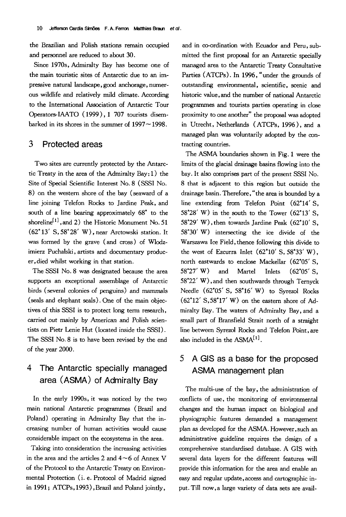the Brazilian and Polish stations remain occupied and personnel are reduced to about 30.

Since 1970s, Admiralty Bay has become one of the main touristic sites of Antarctic due to an impressive natural landscape, good anchorage, numerous wildlife and relatively mild climate. According to the International Association of Antarctic Tour Operators-IAATO (1999), 1 707 tourists disembarked in its shores in the summer of  $1997 - 1998$ .

## **3 Protected areas**

Two sites are currently protected by the Antarctic Treaty in the area of the Admiralty Bay: 1) the Site of Special Scientific Interest No. 8 (SSSI No. 8) on the western shore of the bay (seaward of a line joining Telefon Rocks to Jardine Peak, and south of a line bearing approximately 68\* to the shoreline<sup>[1]</sup>, and 2) the Historic Monument No. 51 (62\* 13' S, 58\*28' W), near Arctowski station. It was formed by the grave (and cross) of Wlodzimierz Puchalski, artists and documentary producer,died whilst working in that station.

The SSSI No. 8 was designated because the area supports an exceptional assemblage of Antarctic birds (several colonies of penguins) and mammals (seals and elephant seals). One of the main objectives of this SSSI is to protect long term research, carried out mainly by American and Polish scientists on Pietr Lenie Hut (located inside the SSSI). The SSSI No. 8 is to have been revised by the end of the year 2000.

## **4 The Antarctic specially managed area (ASMA) of Admiralty Bay**

In the early 1990s, it was noticed by the two main national Antarctic programmes (Brazil and Poland) operating in Admiralty Bay that the increasing number of human activities would cause considerable impact on the ecosystems in the area.

Taking into consideration the increasing activities in the area and the articles 2 and  $4 \sim 6$  of Annex V of the Protocol to the Antarctic Treaty on Environmental Protection (i. e. Protocol of Madrid signed in 1991; ATCPs, 1993), Brazil and Poland jointly,

and in co-ordination with Ecuador and Peru, submitted the first proposal for an Antarctic specially managed area to the Antarctic Treaty Consultative Parties (ATCPs). In 1996, "under the grounds of outstanding environmental, scientific, scenic and historic value, and the number of national Antarctic prograrnmes and tourists parties operating in close proximity to one another" the proposal was adopted in Utrecht, Netherlands (ATCPs, 1996 ), and a managed plan was voluntarily adopted by the contracting countries.

The ASMA boundaries shown in Fig. 1 were the limits of the glacial drainage basins flowing into the bay. It also comprises part of the present SSSI No. 8 that is adjacent to this region but outside the drainage basin. Therefore, "the area is bounded by a line extending from Telefon Point (62°14' S,  $58°28'$  W) in the south to the Tower  $(62°13'$  S, 58°29' W), then towards Jardine Peak (62°10' S, 58\*30' W) intersecting the ice divide of the Warszawa Ice Field, thence following this divide to the west of Ezcurra Inlet  $(62^{\circ}10' \text{ S}, 58^{\circ}33' \text{ W})$ , north eastwards to enclose Mackellar (62"05' S, 58"27' W) and Martel Inlets (62\*05' S, 58\*22' W),and then southwards through Ternyck Needle (62"05' S, 58"16' W) to Syrezol Rocks (62"12' S,58"17' W) on the eastern shore of Admiralty Bay. The waters of Admiralty Bay, and a small part of Bransfield Strait north of a straight line between Syrezol Rocks and Telefon Point, are also included in the  $ASMA<sup>[1]</sup>$ .

## **5 A GIS as a base for the proposed ASMA management plan**

The multi-use of the bay, the administration of conflicts of use, the monitoring of environmental changes and the human impact on biological and physiographic features demanded a management plan as developed for the ASMA. However, such an administrative guideline requires the design of a comprehensive standardised database. A GIS with several data layers for the different features will provide this information for the area and enable an easy and regular update, access and cartographic input. Till now,a large variety of data sets are avail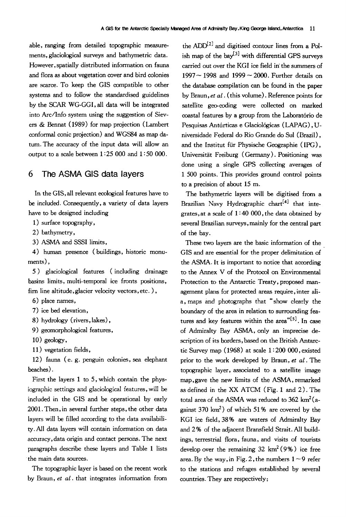able, ranging from detailed topographic measurements, glaciological surveys and bathymetric data. However, spatially distributed information on fauna and flora as about vegetation cover and bird colonies are scarce. To keep the GIS compatible to other systems and to follow the standardised guidelines by the SCAR WG-GGI, all data will be integrated into Arc/Info system using the suggestion of Sievers & 13ennat (1989) for map projection (Lambert conformal conic projection) and WGS84 as map datum. The accuracy of the input data will allow an output to a scale between  $1:25000$  and  $1:50000$ .

### **6 The ASMA GIS data layers**

In the GIS, all relevant ecological features have to be included. Consequently, a variety of data layers have to be designed including

1) surface topography,

2) bathymetry,

3) ASMA and SSSI limits,

4) human presence (buildings, historic monuments),

5) glaciological features (including drainage basins limits, multi-temporal ice fronts positions, firn line altitude, glacier velocity vectors, etc. ),

6) place names,

7) ice bed elevation,

8) hydrology (rivers, lakes),

9) geomorphological features,

10) geology,

11) vegetation fields,

12) fauna (e. g. penguin colonies, sea elephant beaches).

First the layers 1 to 5, which contain the physiographic settings and glaciological features, will be included in the GIS and be operational by early 2001. Then, in several further steps, the other data layers will be filled according to the data availability. All data layers will contain information on data accuracy, data origin and contact persons. The next paragraphs describe these layers and Table 1 lists the main data sources.

The topographic layer is based on the recent work by Braun, *et al.* that integrates information from

the  $ADD^{[2]}$  and digitised contour lines from a Polish map of the  $bay^{[3]}$  with differential GPS surveys carried out over the KGI ice field in' the summers of  $1997 \sim 1998$  and  $1999 \sim 2000$ . Further details on the database compilation can be found in the paper by Braun, *et al.* (this volume). Reference points for satellite geo-coding were collected on marked coastal features by a group from the Laboratório de Pesquisas Antárticas e Glaciológicas (LAPAG), Universidade Federal do Rio Grande do Sul (Brazil), and the Institut für Physische Geographie (IPG), Universität Freiburg (Germany). Positioning was done using a single GPS collecting averages of 1 500 points. This provides ground control points to a precision of about 15 m.

The bathymetric layers will be digitised from a Brazilian Navy Hydrographic chart<sup>[4]</sup> that integrates, at a scale of  $1:40000$ , the data obtained by several Brazilian surveys, mainly for the central part of the bay.

These two layers are the basic information of the GIS and are essential for the proper delimitation of the ASMA. It is important to notice that according to the Annex V of the Protocol on Environmental Protection to the Antarctic Treaty, proposed management plans for protected areas require, inter alia, maps and photographs that "show clearly the boundary of the area in relation to surrounding features and key features within the area<sup>"[5]</sup>. In case of Admiralty Bay ASMA, only an imprecise description of its borders, based on the British Antarctic Survey map (1968) at scale 1 : 200 000, existed prior to the work developed by Braun, *et al.* The topographic layer, associated to a satellite image map,gave the new limits of the ASMA, remarked as defined in the XX ATCM (Fig. 1 and 2). The total area of the ASMA was reduced to  $362 \text{ km}^2$  (against  $370 \text{ km}^2$ ) of which  $51\%$  are covered by the KGI ice field, 38% are waters of Admiralty Bay and 2 % of the adjacent Bransfield Strait. All buildings, terrestrial flora, fauna, and visits of tourists develop over the remaining  $32 \text{ km}^2 (9\%)$  ice free area. By the way, in Fig. 2, the numbers  $1\sim 9$  refer to the stations and refuges established by several countries. They are respectively: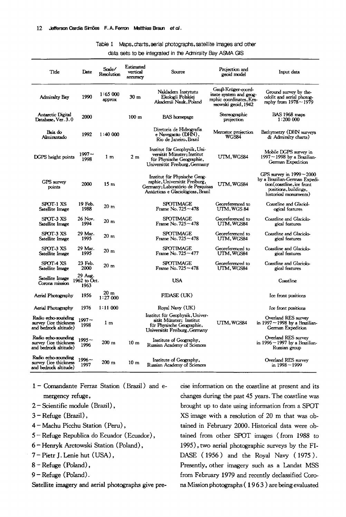#### Table 1 Maps, charts, aerial photographs, satellite images and other

#### data sets to be integrated in the Admiralty Bay ASMA GIS

| Title                                                                 | Date                            | Scale/<br><b>Resolution</b> | Estimated<br>vertical<br>accuracy | Source                                                                                                                                   | Projection and<br>geoid model                                                                   | Input data                                                                                                                                  |
|-----------------------------------------------------------------------|---------------------------------|-----------------------------|-----------------------------------|------------------------------------------------------------------------------------------------------------------------------------------|-------------------------------------------------------------------------------------------------|---------------------------------------------------------------------------------------------------------------------------------------------|
| <b>Admiralty Bay</b>                                                  | 1990                            | 1:65000<br>approx           | 30 <sub>m</sub>                   | Nakladem Instytutu<br>Ekologii Polskiej<br>Akademii Nauk,Poland                                                                          | Gauß-Krüger-coord-<br>inate system and geog-<br>raphic coordinates, Kra-<br>ssowski geoid, 1942 | Ground survey by the-<br>odolit and aerial photog-<br>raphy from 1978~1979                                                                  |
| Antarctic Digital<br>Database, Ver. 3.0                               | 2000                            |                             | 100 <sub>m</sub>                  | <b>BAS</b> homepage                                                                                                                      | Stereographic<br>projection                                                                     | <b>BAS 1968</b> maps<br>1:200000                                                                                                            |
| Baia do<br>Almirantado                                                | 1992                            | 1:40000                     |                                   | Diretoria de Hidrografia<br>e Navegacão (DHN),<br>Rio de Janeiro, Brazil                                                                 | Mercator projection<br>WGS84                                                                    | Bathymetry (DHN surveys<br>& Admiralty charts)                                                                                              |
| DGPS height points                                                    | $1997 -$<br>1998                | 1 <sub>m</sub>              | 2m                                | Institut für Geophysik, Uni-<br>versität Münster; Institut<br>für Physische Geographie,<br>Universitüt Freiburg, Germany                 | UTM, WGS84                                                                                      | Mobile DGPS survey in<br>$1997 - 1998$ by a Brazilian-<br>German Expedition                                                                 |
| <b>GPS</b> survey<br>points                                           | 2000                            | 15 <sub>m</sub>             |                                   | Institut für Physische Geog-<br>raphie, Universität Freiburg,<br>Germany; Laboratório de Pesquisas<br>Antárticas e Glaciológicas, Brazil | UTM, WGS84                                                                                      | GPS survey in $1999 - 2000$<br>by a Brazilian-German Expedi-<br>tion(coastline, ice front<br>positions, buildings,<br>historical monuments) |
| SPOT 1 XS<br>Satellite Image                                          | 19 Feb.<br>1988                 | 20 <sub>m</sub>             |                                   | SPOTIMAGE<br>Frame No. $725 - 478$                                                                                                       | Georeferenced to<br>UTM, WGS 84                                                                 | Coastline and Glaciol-<br>ogical features                                                                                                   |
| SPOT-3 XS<br><b>Satellite Image</b>                                   | 26 Nov.<br>1994                 | 20 <sub>m</sub>             |                                   | SPOTIMAGE<br>Frame No. $725 - 478$                                                                                                       | Georeferenced to<br>UTM,WGS84                                                                   | Coastline and Glaciolo-<br>gical features                                                                                                   |
| SPOT-3 XS<br>Satellite Image                                          | 29 Mar.<br>1995                 | 20 <sub>m</sub>             |                                   | SPOTIMAGE<br>Frame No. 725 ~ 478                                                                                                         | Georeferenced to<br>UTM, WGS84                                                                  | Coastline and Glaciolo-<br>gical features                                                                                                   |
| SPOT-3 XS<br>Satellite Image                                          | 29 Mar.<br>1995                 | 20 <sub>m</sub>             |                                   | SPOTIMAGE<br>Frame No. 725~477                                                                                                           | Georeferenced to<br>UTM, WGS84                                                                  | Coastline and Glaciolo-<br>gical features                                                                                                   |
| SPOT-4 XS<br>Satellite Image                                          | 23 Feb.<br>2000                 | 20 <sub>m</sub>             |                                   | <b>SPOTIMAGE</b><br>Frame No. $725 - 478$                                                                                                | Georeferenced to<br>UTM, WGS84                                                                  | Coastline and Glaciolo-<br>gical features                                                                                                   |
| Satellite Image<br>Corona mission                                     | 29 Aug.<br>1962 to Oct.<br>1963 |                             |                                   | <b>USA</b>                                                                                                                               |                                                                                                 | Coastline                                                                                                                                   |
| Aerial Photography                                                    | 1956                            | 20 <sub>m</sub><br>1:27000  |                                   | FIDASE (UK)                                                                                                                              |                                                                                                 | Ice front positions                                                                                                                         |
| Aerial Photography                                                    | 1976                            | 1:11000                     |                                   | Royal Navy (UK)                                                                                                                          |                                                                                                 | Ice front positions                                                                                                                         |
| Radio echo-sounding<br>survey (ice thickness<br>and bedrock altitude) | $1997 -$<br>1998                | 1 <sub>m</sub>              |                                   | Institut für Geophysik, Univer-<br>sität Münster; Institut<br>für Physische Geographie,<br>Universität Freiburg, Germany                 | UTM, WGS84                                                                                      | Overland RES survey<br>in $1997 - 1998$ by a Brazilian-<br>German Expedition                                                                |
| Radio echo-sounding<br>survey (ice thickness<br>and bedrock altitude) | $1995 -$<br>1996                | $200 \text{ m}$             | 10 <sub>m</sub>                   | Institute of Geography,<br>Russian Academy of Sciences                                                                                   |                                                                                                 | Overland RES survey<br>in 1996~1997 by a Brazilian-<br>Russian group                                                                        |
| Radio echo-sounding<br>survey (ice thickness<br>and bedrock altitude) | $1996 -$<br>1997                | $200 \text{ m}$             | 10 <sub>m</sub>                   | Institute of Geography,<br>Russian Academy of Sciences                                                                                   |                                                                                                 | Overland RES survey<br>in $1998 - 1999$                                                                                                     |

- **1-** Comandante Ferraz Station (Brazil) and emergency refuge,
- 2 Scientific module (Brazil),
- 3 Refuge (Brazil),
- **4-** Machu Picchu Station (Peru),
- 5 Refuge Republica do Ecuador (Ecuador),
- **6** Henryk Arctowski Station (Poland),
- 7 Pietr J. Lenie hut (USA),
- **8** Refuge (Poland),
- 9 Refuge (Poland).

Satellite imagery and aerial photographs give pre-

cise information on the coastline at present and its changes during the past 45 years. The coastline was brought up to date using information from a SPOT XS image with a resolution of 20 m that was obtained in February 2000. Historical data were obtained from other SPOT images (from 1988 to 1995), two aerial photographic surveys by the FI-DASE ( 1956 ) and the Royal Navy ( 1975 ). Presently, other imagery such as a Landat MSS from February 1979 and recently declassified Corona Mission photographs ( 19 6 3 ) are being evaluated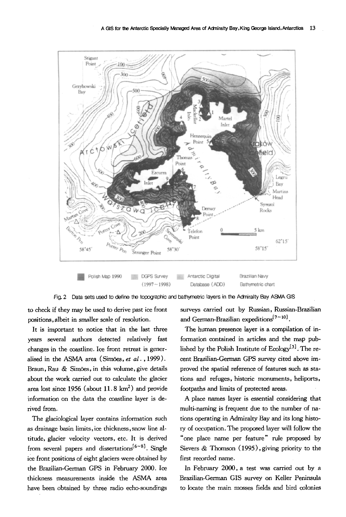



to check if they may be used to derive past ice front positions, albeit in smaller scale of resolution.

It is important to notice that in the last three years several authors detected relatively fast changes in the coastline. Ice front retreat is generalised in the ASMA area (Sim<sub>oes</sub>, *et al.*, 1999). Braun, Rau & Simões, in this volume, give details about the work carried out to calculate the glacier area lost since 1956 (about  $11.8 \text{ km}^2$ ) and provide information on the data the coastline layer is derived from.

The glaciological layer contains information such as drainage basin limits, ice thickness,snow line altitude, glacier velocity vectors, etc. It is derived from several papers and dissertations<sup>[6~8]</sup>. Single ice front positions of eight glaciers were obtained by the Brazilian-German GPS in February 2000. Ice thickness measurements inside the ASMA area have been obtained by three radio echo-soundings surveys carried out by Russian, Russian-Brazilian and German-Brazilian expeditions  $[7-10]$ .

The human presence layer is a compilation of information contained in articles and the map published by the Polish Institute of  $Ecology^{[3]}$ . The recent Brazilian-German GPS survey cited above improved the spatial reference of features such as stations and refuges, historic monuments, heliports, footpaths and limits of protected areas.

A place names layer is essential considering that multi-naming is frequent due to the number of nations operating in Admiralty Bay and its long history of occupation. The proposed layer will follow the "one place name per feature" rule proposed by Sievers & Thomson (1995), giving priority to the first recorded name.

In February 2000, a test was carried out by a Brazilian-German GIS survey on Keller Peninsula to locate the main mosses fields and bird colonies